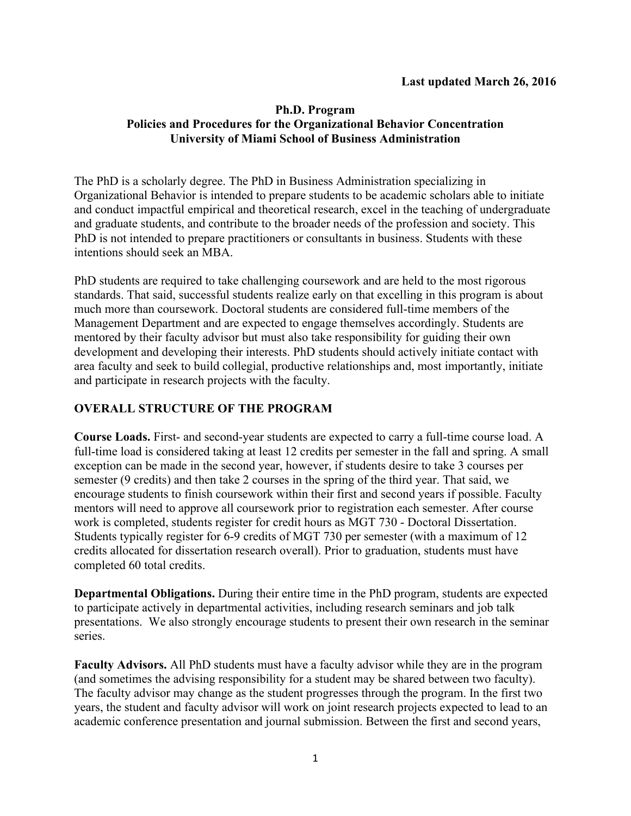## **Ph.D. Program Policies and Procedures for the Organizational Behavior Concentration University of Miami School of Business Administration**

The PhD is a scholarly degree. The PhD in Business Administration specializing in Organizational Behavior is intended to prepare students to be academic scholars able to initiate and conduct impactful empirical and theoretical research, excel in the teaching of undergraduate and graduate students, and contribute to the broader needs of the profession and society. This PhD is not intended to prepare practitioners or consultants in business. Students with these intentions should seek an MBA.

PhD students are required to take challenging coursework and are held to the most rigorous standards. That said, successful students realize early on that excelling in this program is about much more than coursework. Doctoral students are considered full-time members of the Management Department and are expected to engage themselves accordingly. Students are mentored by their faculty advisor but must also take responsibility for guiding their own development and developing their interests. PhD students should actively initiate contact with area faculty and seek to build collegial, productive relationships and, most importantly, initiate and participate in research projects with the faculty.

# **OVERALL STRUCTURE OF THE PROGRAM**

**Course Loads.** First- and second-year students are expected to carry a full-time course load. A full-time load is considered taking at least 12 credits per semester in the fall and spring. A small exception can be made in the second year, however, if students desire to take 3 courses per semester (9 credits) and then take 2 courses in the spring of the third year. That said, we encourage students to finish coursework within their first and second years if possible. Faculty mentors will need to approve all coursework prior to registration each semester. After course work is completed, students register for credit hours as MGT 730 - Doctoral Dissertation. Students typically register for 6-9 credits of MGT 730 per semester (with a maximum of 12 credits allocated for dissertation research overall). Prior to graduation, students must have completed 60 total credits.

**Departmental Obligations.** During their entire time in the PhD program, students are expected to participate actively in departmental activities, including research seminars and job talk presentations. We also strongly encourage students to present their own research in the seminar series.

**Faculty Advisors.** All PhD students must have a faculty advisor while they are in the program (and sometimes the advising responsibility for a student may be shared between two faculty). The faculty advisor may change as the student progresses through the program. In the first two years, the student and faculty advisor will work on joint research projects expected to lead to an academic conference presentation and journal submission. Between the first and second years,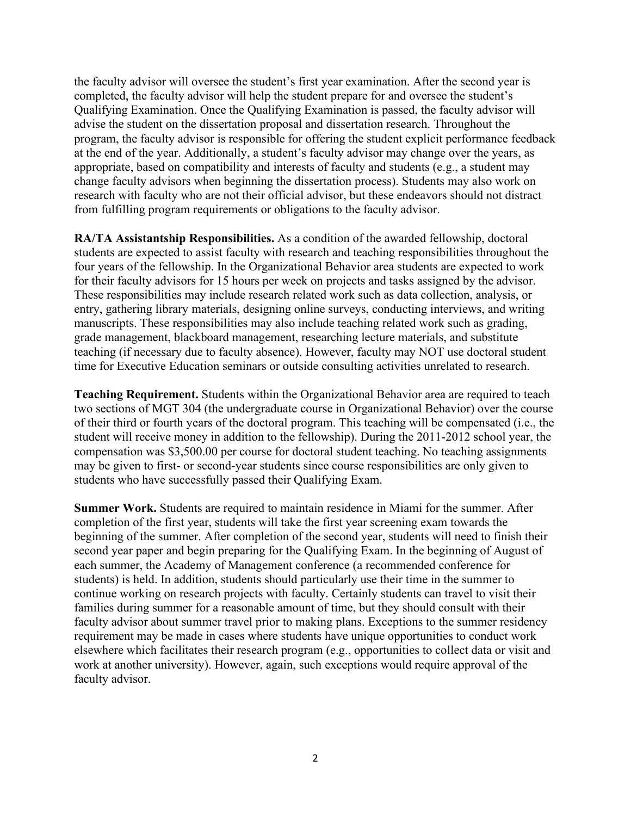the faculty advisor will oversee the student's first year examination. After the second year is completed, the faculty advisor will help the student prepare for and oversee the student's Qualifying Examination. Once the Qualifying Examination is passed, the faculty advisor will advise the student on the dissertation proposal and dissertation research. Throughout the program, the faculty advisor is responsible for offering the student explicit performance feedback at the end of the year. Additionally, a student's faculty advisor may change over the years, as appropriate, based on compatibility and interests of faculty and students (e.g., a student may change faculty advisors when beginning the dissertation process). Students may also work on research with faculty who are not their official advisor, but these endeavors should not distract from fulfilling program requirements or obligations to the faculty advisor.

**RA/TA Assistantship Responsibilities.** As a condition of the awarded fellowship, doctoral students are expected to assist faculty with research and teaching responsibilities throughout the four years of the fellowship. In the Organizational Behavior area students are expected to work for their faculty advisors for 15 hours per week on projects and tasks assigned by the advisor. These responsibilities may include research related work such as data collection, analysis, or entry, gathering library materials, designing online surveys, conducting interviews, and writing manuscripts. These responsibilities may also include teaching related work such as grading, grade management, blackboard management, researching lecture materials, and substitute teaching (if necessary due to faculty absence). However, faculty may NOT use doctoral student time for Executive Education seminars or outside consulting activities unrelated to research.

**Teaching Requirement.** Students within the Organizational Behavior area are required to teach two sections of MGT 304 (the undergraduate course in Organizational Behavior) over the course of their third or fourth years of the doctoral program. This teaching will be compensated (i.e., the student will receive money in addition to the fellowship). During the 2011-2012 school year, the compensation was \$3,500.00 per course for doctoral student teaching. No teaching assignments may be given to first- or second-year students since course responsibilities are only given to students who have successfully passed their Qualifying Exam.

**Summer Work.** Students are required to maintain residence in Miami for the summer. After completion of the first year, students will take the first year screening exam towards the beginning of the summer. After completion of the second year, students will need to finish their second year paper and begin preparing for the Qualifying Exam. In the beginning of August of each summer, the Academy of Management conference (a recommended conference for students) is held. In addition, students should particularly use their time in the summer to continue working on research projects with faculty. Certainly students can travel to visit their families during summer for a reasonable amount of time, but they should consult with their faculty advisor about summer travel prior to making plans. Exceptions to the summer residency requirement may be made in cases where students have unique opportunities to conduct work elsewhere which facilitates their research program (e.g., opportunities to collect data or visit and work at another university). However, again, such exceptions would require approval of the faculty advisor.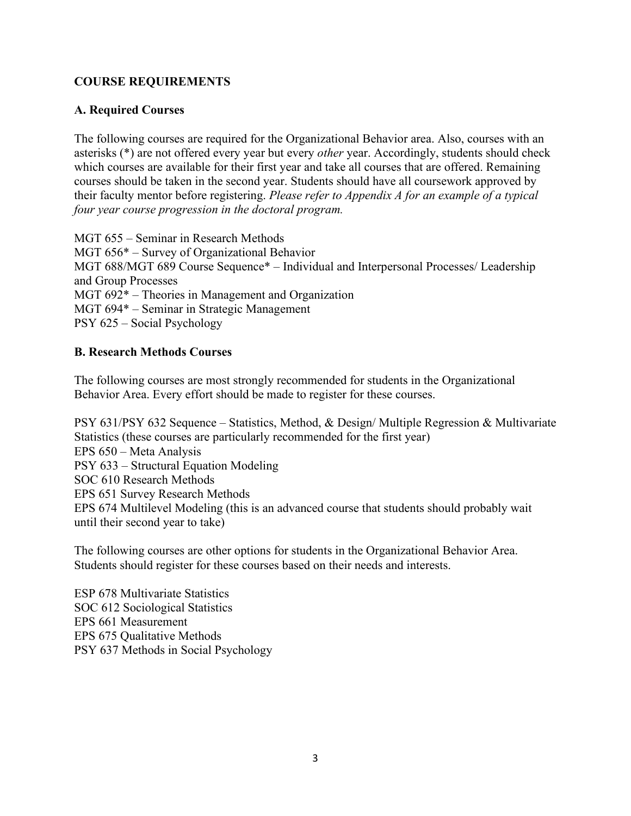# **COURSE REQUIREMENTS**

#### **A. Required Courses**

The following courses are required for the Organizational Behavior area. Also, courses with an asterisks (\*) are not offered every year but every *other* year. Accordingly, students should check which courses are available for their first year and take all courses that are offered. Remaining courses should be taken in the second year. Students should have all coursework approved by their faculty mentor before registering. *Please refer to Appendix A for an example of a typical four year course progression in the doctoral program.*

MGT 655 – Seminar in Research Methods MGT 656\* – Survey of Organizational Behavior MGT 688/MGT 689 Course Sequence\* – Individual and Interpersonal Processes/ Leadership and Group Processes MGT 692\* – Theories in Management and Organization MGT 694\* – Seminar in Strategic Management PSY 625 – Social Psychology

#### **B. Research Methods Courses**

The following courses are most strongly recommended for students in the Organizational Behavior Area. Every effort should be made to register for these courses.

PSY 631/PSY 632 Sequence – Statistics, Method, & Design/ Multiple Regression & Multivariate Statistics (these courses are particularly recommended for the first year) EPS 650 – Meta Analysis PSY 633 – Structural Equation Modeling SOC 610 Research Methods EPS 651 Survey Research Methods EPS 674 Multilevel Modeling (this is an advanced course that students should probably wait until their second year to take)

The following courses are other options for students in the Organizational Behavior Area. Students should register for these courses based on their needs and interests.

ESP 678 Multivariate Statistics SOC 612 Sociological Statistics EPS 661 Measurement EPS 675 Qualitative Methods PSY 637 Methods in Social Psychology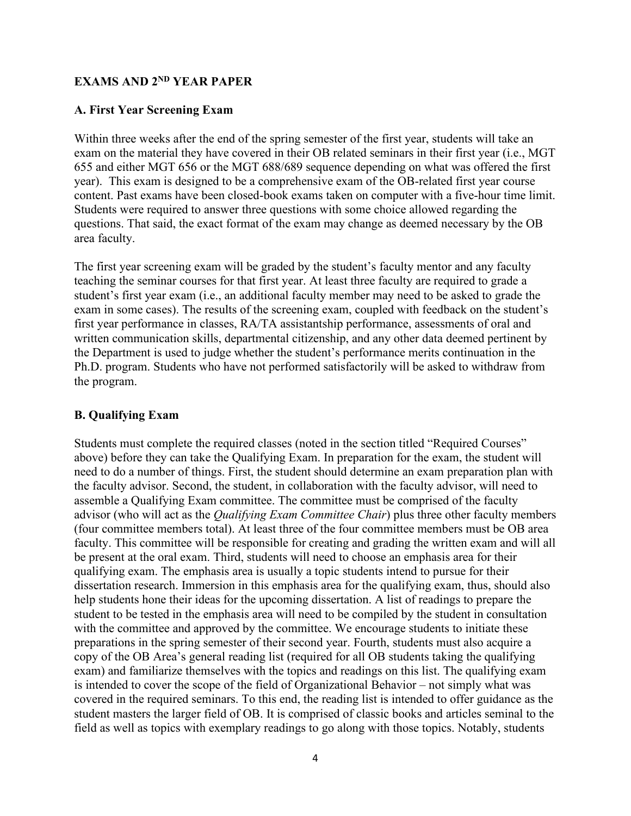## **EXAMS AND 2ND YEAR PAPER**

#### **A. First Year Screening Exam**

Within three weeks after the end of the spring semester of the first year, students will take an exam on the material they have covered in their OB related seminars in their first year (i.e., MGT 655 and either MGT 656 or the MGT 688/689 sequence depending on what was offered the first year). This exam is designed to be a comprehensive exam of the OB-related first year course content. Past exams have been closed-book exams taken on computer with a five-hour time limit. Students were required to answer three questions with some choice allowed regarding the questions. That said, the exact format of the exam may change as deemed necessary by the OB area faculty.

The first year screening exam will be graded by the student's faculty mentor and any faculty teaching the seminar courses for that first year. At least three faculty are required to grade a student's first year exam (i.e., an additional faculty member may need to be asked to grade the exam in some cases). The results of the screening exam, coupled with feedback on the student's first year performance in classes, RA/TA assistantship performance, assessments of oral and written communication skills, departmental citizenship, and any other data deemed pertinent by the Department is used to judge whether the student's performance merits continuation in the Ph.D. program. Students who have not performed satisfactorily will be asked to withdraw from the program.

#### **B. Qualifying Exam**

Students must complete the required classes (noted in the section titled "Required Courses" above) before they can take the Qualifying Exam. In preparation for the exam, the student will need to do a number of things. First, the student should determine an exam preparation plan with the faculty advisor. Second, the student, in collaboration with the faculty advisor, will need to assemble a Qualifying Exam committee. The committee must be comprised of the faculty advisor (who will act as the *Qualifying Exam Committee Chair*) plus three other faculty members (four committee members total). At least three of the four committee members must be OB area faculty. This committee will be responsible for creating and grading the written exam and will all be present at the oral exam. Third, students will need to choose an emphasis area for their qualifying exam. The emphasis area is usually a topic students intend to pursue for their dissertation research. Immersion in this emphasis area for the qualifying exam, thus, should also help students hone their ideas for the upcoming dissertation. A list of readings to prepare the student to be tested in the emphasis area will need to be compiled by the student in consultation with the committee and approved by the committee. We encourage students to initiate these preparations in the spring semester of their second year. Fourth, students must also acquire a copy of the OB Area's general reading list (required for all OB students taking the qualifying exam) and familiarize themselves with the topics and readings on this list. The qualifying exam is intended to cover the scope of the field of Organizational Behavior – not simply what was covered in the required seminars. To this end, the reading list is intended to offer guidance as the student masters the larger field of OB. It is comprised of classic books and articles seminal to the field as well as topics with exemplary readings to go along with those topics. Notably, students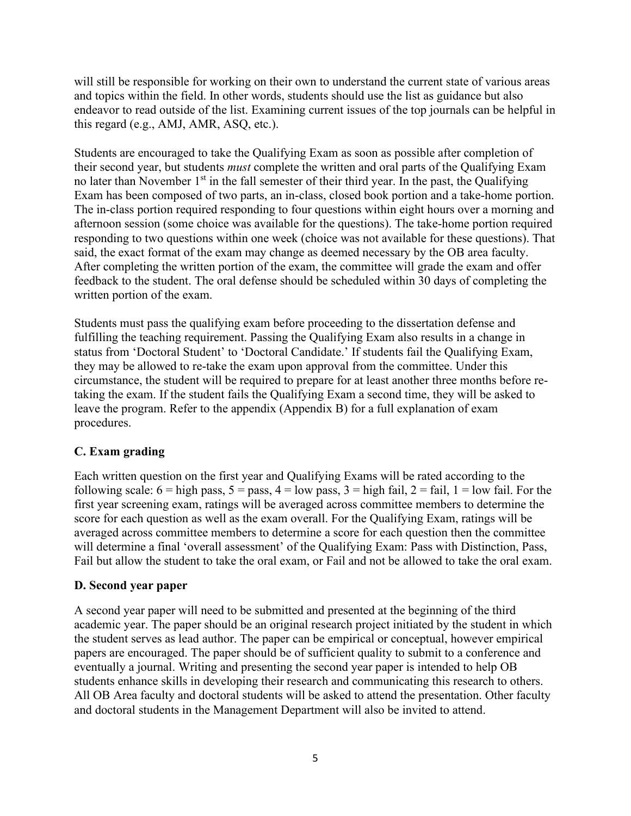will still be responsible for working on their own to understand the current state of various areas and topics within the field. In other words, students should use the list as guidance but also endeavor to read outside of the list. Examining current issues of the top journals can be helpful in this regard (e.g., AMJ, AMR, ASQ, etc.).

Students are encouraged to take the Qualifying Exam as soon as possible after completion of their second year, but students *must* complete the written and oral parts of the Qualifying Exam no later than November  $1<sup>st</sup>$  in the fall semester of their third year. In the past, the Qualifying Exam has been composed of two parts, an in-class, closed book portion and a take-home portion. The in-class portion required responding to four questions within eight hours over a morning and afternoon session (some choice was available for the questions). The take-home portion required responding to two questions within one week (choice was not available for these questions). That said, the exact format of the exam may change as deemed necessary by the OB area faculty. After completing the written portion of the exam, the committee will grade the exam and offer feedback to the student. The oral defense should be scheduled within 30 days of completing the written portion of the exam.

Students must pass the qualifying exam before proceeding to the dissertation defense and fulfilling the teaching requirement. Passing the Qualifying Exam also results in a change in status from 'Doctoral Student' to 'Doctoral Candidate.' If students fail the Qualifying Exam, they may be allowed to re-take the exam upon approval from the committee. Under this circumstance, the student will be required to prepare for at least another three months before retaking the exam. If the student fails the Qualifying Exam a second time, they will be asked to leave the program. Refer to the appendix (Appendix B) for a full explanation of exam procedures.

## **C. Exam grading**

Each written question on the first year and Qualifying Exams will be rated according to the following scale:  $6 =$  high pass,  $5 =$  pass,  $4 =$  low pass,  $3 =$  high fail,  $2 =$  fail,  $1 =$  low fail. For the first year screening exam, ratings will be averaged across committee members to determine the score for each question as well as the exam overall. For the Qualifying Exam, ratings will be averaged across committee members to determine a score for each question then the committee will determine a final 'overall assessment' of the Qualifying Exam: Pass with Distinction, Pass, Fail but allow the student to take the oral exam, or Fail and not be allowed to take the oral exam.

## **D. Second year paper**

A second year paper will need to be submitted and presented at the beginning of the third academic year. The paper should be an original research project initiated by the student in which the student serves as lead author. The paper can be empirical or conceptual, however empirical papers are encouraged. The paper should be of sufficient quality to submit to a conference and eventually a journal. Writing and presenting the second year paper is intended to help OB students enhance skills in developing their research and communicating this research to others. All OB Area faculty and doctoral students will be asked to attend the presentation. Other faculty and doctoral students in the Management Department will also be invited to attend.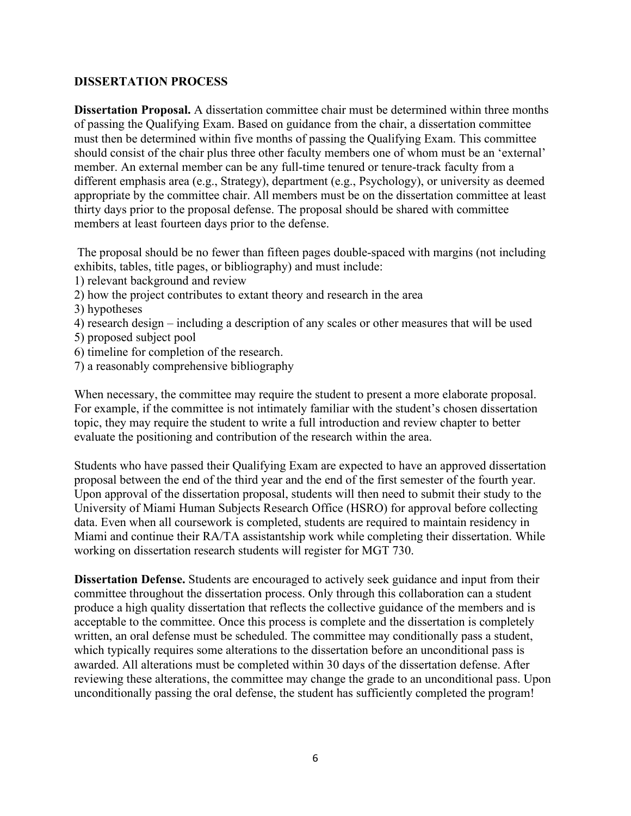#### **DISSERTATION PROCESS**

**Dissertation Proposal.** A dissertation committee chair must be determined within three months of passing the Qualifying Exam. Based on guidance from the chair, a dissertation committee must then be determined within five months of passing the Qualifying Exam. This committee should consist of the chair plus three other faculty members one of whom must be an 'external' member. An external member can be any full-time tenured or tenure-track faculty from a different emphasis area (e.g., Strategy), department (e.g., Psychology), or university as deemed appropriate by the committee chair. All members must be on the dissertation committee at least thirty days prior to the proposal defense. The proposal should be shared with committee members at least fourteen days prior to the defense.

The proposal should be no fewer than fifteen pages double-spaced with margins (not including exhibits, tables, title pages, or bibliography) and must include:

- 1) relevant background and review
- 2) how the project contributes to extant theory and research in the area
- 3) hypotheses
- 4) research design including a description of any scales or other measures that will be used 5) proposed subject pool
- 
- 6) timeline for completion of the research.
- 7) a reasonably comprehensive bibliography

When necessary, the committee may require the student to present a more elaborate proposal. For example, if the committee is not intimately familiar with the student's chosen dissertation topic, they may require the student to write a full introduction and review chapter to better evaluate the positioning and contribution of the research within the area.

Students who have passed their Qualifying Exam are expected to have an approved dissertation proposal between the end of the third year and the end of the first semester of the fourth year. Upon approval of the dissertation proposal, students will then need to submit their study to the University of Miami Human Subjects Research Office (HSRO) for approval before collecting data. Even when all coursework is completed, students are required to maintain residency in Miami and continue their RA/TA assistantship work while completing their dissertation. While working on dissertation research students will register for MGT 730.

**Dissertation Defense.** Students are encouraged to actively seek guidance and input from their committee throughout the dissertation process. Only through this collaboration can a student produce a high quality dissertation that reflects the collective guidance of the members and is acceptable to the committee. Once this process is complete and the dissertation is completely written, an oral defense must be scheduled. The committee may conditionally pass a student, which typically requires some alterations to the dissertation before an unconditional pass is awarded. All alterations must be completed within 30 days of the dissertation defense. After reviewing these alterations, the committee may change the grade to an unconditional pass. Upon unconditionally passing the oral defense, the student has sufficiently completed the program!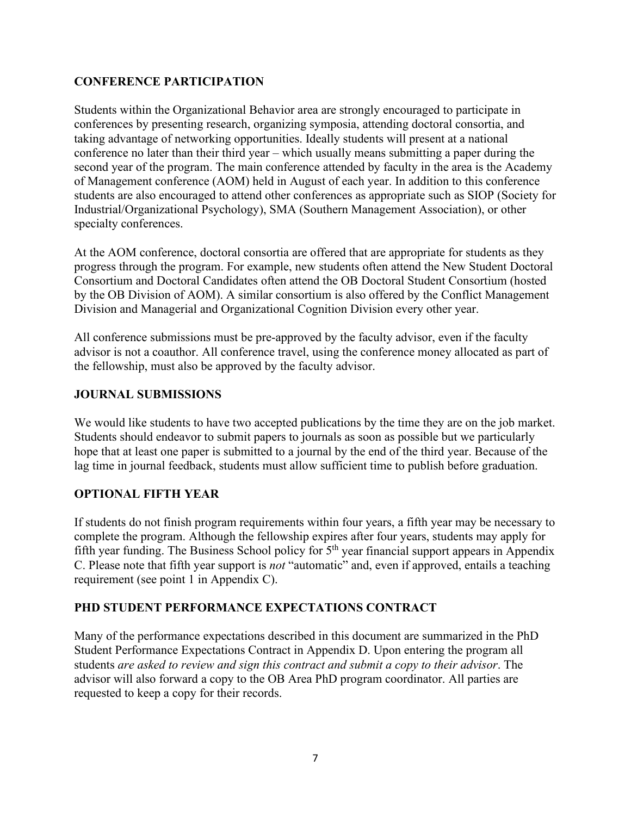# **CONFERENCE PARTICIPATION**

Students within the Organizational Behavior area are strongly encouraged to participate in conferences by presenting research, organizing symposia, attending doctoral consortia, and taking advantage of networking opportunities. Ideally students will present at a national conference no later than their third year – which usually means submitting a paper during the second year of the program. The main conference attended by faculty in the area is the Academy of Management conference (AOM) held in August of each year. In addition to this conference students are also encouraged to attend other conferences as appropriate such as SIOP (Society for Industrial/Organizational Psychology), SMA (Southern Management Association), or other specialty conferences.

At the AOM conference, doctoral consortia are offered that are appropriate for students as they progress through the program. For example, new students often attend the New Student Doctoral Consortium and Doctoral Candidates often attend the OB Doctoral Student Consortium (hosted by the OB Division of AOM). A similar consortium is also offered by the Conflict Management Division and Managerial and Organizational Cognition Division every other year.

All conference submissions must be pre-approved by the faculty advisor, even if the faculty advisor is not a coauthor. All conference travel, using the conference money allocated as part of the fellowship, must also be approved by the faculty advisor.

## **JOURNAL SUBMISSIONS**

We would like students to have two accepted publications by the time they are on the job market. Students should endeavor to submit papers to journals as soon as possible but we particularly hope that at least one paper is submitted to a journal by the end of the third year. Because of the lag time in journal feedback, students must allow sufficient time to publish before graduation.

## **OPTIONAL FIFTH YEAR**

If students do not finish program requirements within four years, a fifth year may be necessary to complete the program. Although the fellowship expires after four years, students may apply for fifth year funding. The Business School policy for  $5<sup>th</sup>$  year financial support appears in Appendix C. Please note that fifth year support is *not* "automatic" and, even if approved, entails a teaching requirement (see point 1 in Appendix C).

# **PHD STUDENT PERFORMANCE EXPECTATIONS CONTRACT**

Many of the performance expectations described in this document are summarized in the PhD Student Performance Expectations Contract in Appendix D. Upon entering the program all students *are asked to review and sign this contract and submit a copy to their advisor*. The advisor will also forward a copy to the OB Area PhD program coordinator. All parties are requested to keep a copy for their records.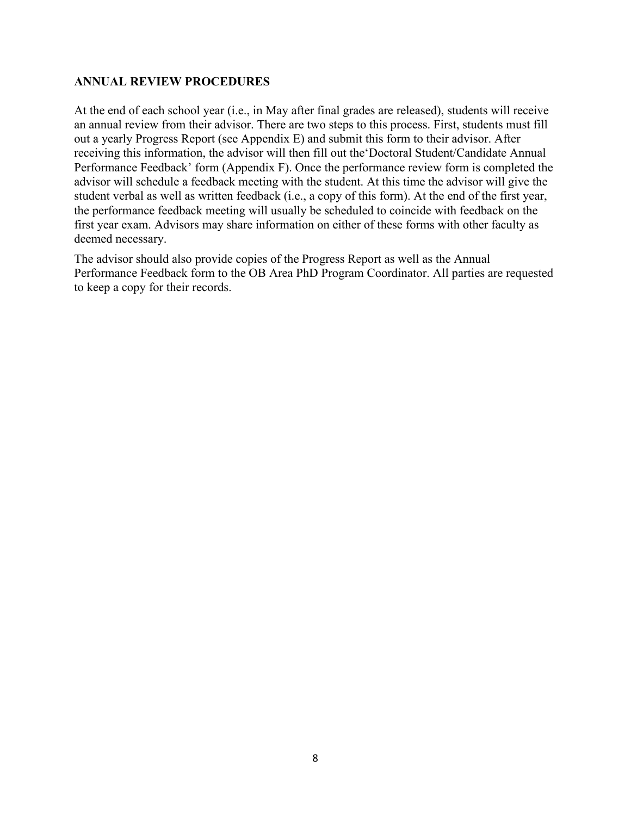#### **ANNUAL REVIEW PROCEDURES**

At the end of each school year (i.e., in May after final grades are released), students will receive an annual review from their advisor. There are two steps to this process. First, students must fill out a yearly Progress Report (see Appendix E) and submit this form to their advisor. After receiving this information, the advisor will then fill out the'Doctoral Student/Candidate Annual Performance Feedback' form (Appendix F). Once the performance review form is completed the advisor will schedule a feedback meeting with the student. At this time the advisor will give the student verbal as well as written feedback (i.e., a copy of this form). At the end of the first year, the performance feedback meeting will usually be scheduled to coincide with feedback on the first year exam. Advisors may share information on either of these forms with other faculty as deemed necessary.

The advisor should also provide copies of the Progress Report as well as the Annual Performance Feedback form to the OB Area PhD Program Coordinator. All parties are requested to keep a copy for their records.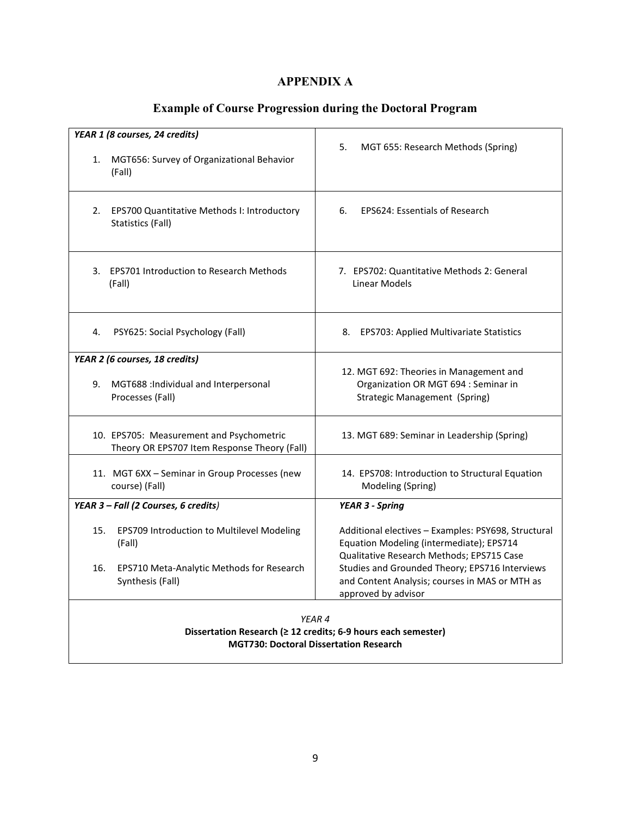# **APPENDIX A**

# **Example of Course Progression during the Doctoral Program**

| YEAR 1 (8 courses, 24 credits)<br>MGT656: Survey of Organizational Behavior<br>1.<br>(Fall)                              | 5.<br>MGT 655: Research Methods (Spring)                                                                                                     |  |  |  |  |  |
|--------------------------------------------------------------------------------------------------------------------------|----------------------------------------------------------------------------------------------------------------------------------------------|--|--|--|--|--|
| 2.<br>EPS700 Quantitative Methods I: Introductory<br>Statistics (Fall)                                                   | <b>EPS624: Essentials of Research</b><br>6.                                                                                                  |  |  |  |  |  |
| 3. EPS701 Introduction to Research Methods<br>(Fall)                                                                     | 7. EPS702: Quantitative Methods 2: General<br>Linear Models                                                                                  |  |  |  |  |  |
| PSY625: Social Psychology (Fall)<br>4.                                                                                   | 8.<br><b>EPS703: Applied Multivariate Statistics</b>                                                                                         |  |  |  |  |  |
| YEAR 2 (6 courses, 18 credits)<br>MGT688: Individual and Interpersonal<br>9.<br>Processes (Fall)                         | 12. MGT 692: Theories in Management and<br>Organization OR MGT 694 : Seminar in<br><b>Strategic Management (Spring)</b>                      |  |  |  |  |  |
| 10. EPS705: Measurement and Psychometric<br>Theory OR EPS707 Item Response Theory (Fall)                                 | 13. MGT 689: Seminar in Leadership (Spring)                                                                                                  |  |  |  |  |  |
| 11. MGT 6XX - Seminar in Group Processes (new<br>course) (Fall)                                                          | 14. EPS708: Introduction to Structural Equation<br>Modeling (Spring)                                                                         |  |  |  |  |  |
| YEAR 3 - Fall (2 Courses, 6 credits)                                                                                     | <b>YEAR 3 - Spring</b>                                                                                                                       |  |  |  |  |  |
| 15.<br>EPS709 Introduction to Multilevel Modeling<br>(Fall)                                                              | Additional electives - Examples: PSY698, Structural<br>Equation Modeling (intermediate); EPS714<br>Qualitative Research Methods; EPS715 Case |  |  |  |  |  |
| EPS710 Meta-Analytic Methods for Research<br>16.<br>Synthesis (Fall)                                                     | Studies and Grounded Theory; EPS716 Interviews<br>and Content Analysis; courses in MAS or MTH as<br>approved by advisor                      |  |  |  |  |  |
| YEAR 4<br>Dissertation Research (≥ 12 credits; 6-9 hours each semester)<br><b>MGT730: Doctoral Dissertation Research</b> |                                                                                                                                              |  |  |  |  |  |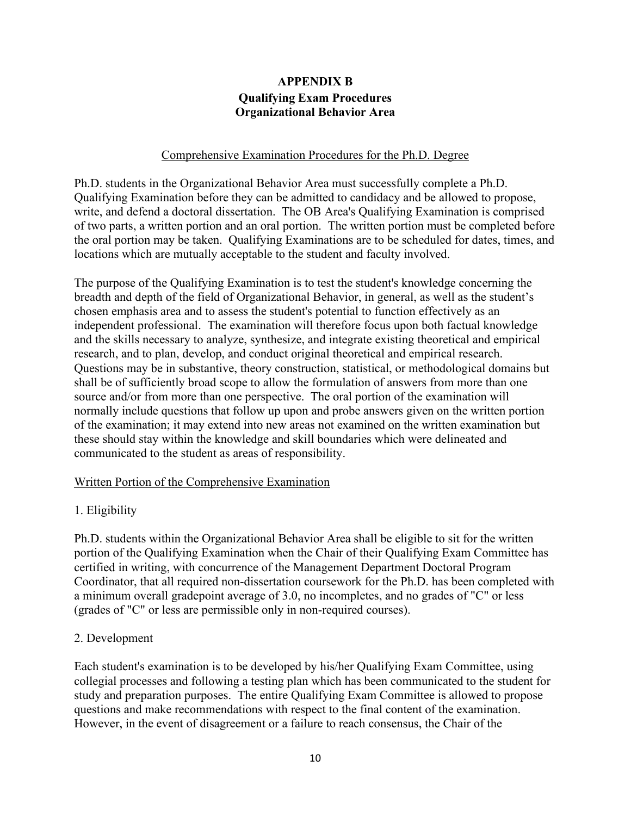# **APPENDIX B Qualifying Exam Procedures Organizational Behavior Area**

#### Comprehensive Examination Procedures for the Ph.D. Degree

Ph.D. students in the Organizational Behavior Area must successfully complete a Ph.D. Qualifying Examination before they can be admitted to candidacy and be allowed to propose, write, and defend a doctoral dissertation. The OB Area's Qualifying Examination is comprised of two parts, a written portion and an oral portion. The written portion must be completed before the oral portion may be taken. Qualifying Examinations are to be scheduled for dates, times, and locations which are mutually acceptable to the student and faculty involved.

The purpose of the Qualifying Examination is to test the student's knowledge concerning the breadth and depth of the field of Organizational Behavior, in general, as well as the student's chosen emphasis area and to assess the student's potential to function effectively as an independent professional. The examination will therefore focus upon both factual knowledge and the skills necessary to analyze, synthesize, and integrate existing theoretical and empirical research, and to plan, develop, and conduct original theoretical and empirical research. Questions may be in substantive, theory construction, statistical, or methodological domains but shall be of sufficiently broad scope to allow the formulation of answers from more than one source and/or from more than one perspective. The oral portion of the examination will normally include questions that follow up upon and probe answers given on the written portion of the examination; it may extend into new areas not examined on the written examination but these should stay within the knowledge and skill boundaries which were delineated and communicated to the student as areas of responsibility.

## Written Portion of the Comprehensive Examination

## 1. Eligibility

Ph.D. students within the Organizational Behavior Area shall be eligible to sit for the written portion of the Qualifying Examination when the Chair of their Qualifying Exam Committee has certified in writing, with concurrence of the Management Department Doctoral Program Coordinator, that all required non-dissertation coursework for the Ph.D. has been completed with a minimum overall gradepoint average of 3.0, no incompletes, and no grades of "C" or less (grades of "C" or less are permissible only in non-required courses).

#### 2. Development

Each student's examination is to be developed by his/her Qualifying Exam Committee, using collegial processes and following a testing plan which has been communicated to the student for study and preparation purposes. The entire Qualifying Exam Committee is allowed to propose questions and make recommendations with respect to the final content of the examination. However, in the event of disagreement or a failure to reach consensus, the Chair of the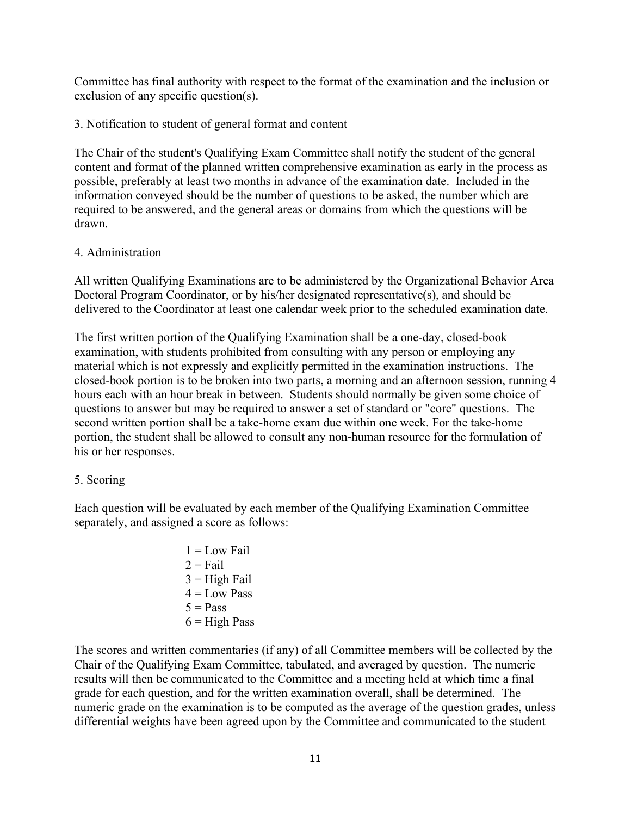Committee has final authority with respect to the format of the examination and the inclusion or exclusion of any specific question(s).

3. Notification to student of general format and content

The Chair of the student's Qualifying Exam Committee shall notify the student of the general content and format of the planned written comprehensive examination as early in the process as possible, preferably at least two months in advance of the examination date. Included in the information conveyed should be the number of questions to be asked, the number which are required to be answered, and the general areas or domains from which the questions will be drawn.

#### 4. Administration

All written Qualifying Examinations are to be administered by the Organizational Behavior Area Doctoral Program Coordinator, or by his/her designated representative(s), and should be delivered to the Coordinator at least one calendar week prior to the scheduled examination date.

The first written portion of the Qualifying Examination shall be a one-day, closed-book examination, with students prohibited from consulting with any person or employing any material which is not expressly and explicitly permitted in the examination instructions. The closed-book portion is to be broken into two parts, a morning and an afternoon session, running 4 hours each with an hour break in between. Students should normally be given some choice of questions to answer but may be required to answer a set of standard or "core" questions. The second written portion shall be a take-home exam due within one week. For the take-home portion, the student shall be allowed to consult any non-human resource for the formulation of his or her responses.

## 5. Scoring

Each question will be evaluated by each member of the Qualifying Examination Committee separately, and assigned a score as follows:

> $1 = Low Fall$  $2 =$ Fail  $3 =$ High Fail  $4 =$ Low Pass  $5 = Pass$  $6$  = High Pass

The scores and written commentaries (if any) of all Committee members will be collected by the Chair of the Qualifying Exam Committee, tabulated, and averaged by question. The numeric results will then be communicated to the Committee and a meeting held at which time a final grade for each question, and for the written examination overall, shall be determined. The numeric grade on the examination is to be computed as the average of the question grades, unless differential weights have been agreed upon by the Committee and communicated to the student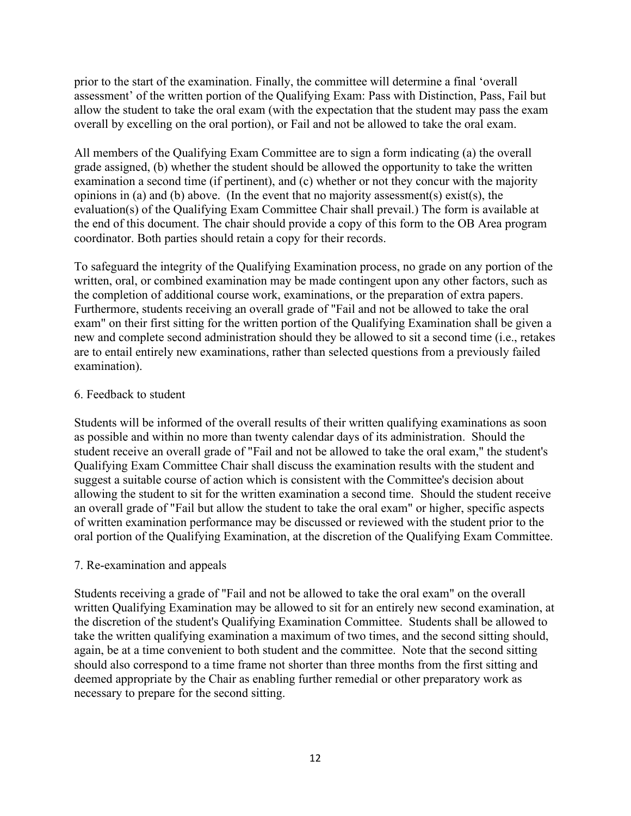prior to the start of the examination. Finally, the committee will determine a final 'overall assessment' of the written portion of the Qualifying Exam: Pass with Distinction, Pass, Fail but allow the student to take the oral exam (with the expectation that the student may pass the exam overall by excelling on the oral portion), or Fail and not be allowed to take the oral exam.

All members of the Qualifying Exam Committee are to sign a form indicating (a) the overall grade assigned, (b) whether the student should be allowed the opportunity to take the written examination a second time (if pertinent), and (c) whether or not they concur with the majority opinions in (a) and (b) above. (In the event that no majority assessment(s) exist(s), the evaluation(s) of the Qualifying Exam Committee Chair shall prevail.) The form is available at the end of this document. The chair should provide a copy of this form to the OB Area program coordinator. Both parties should retain a copy for their records.

To safeguard the integrity of the Qualifying Examination process, no grade on any portion of the written, oral, or combined examination may be made contingent upon any other factors, such as the completion of additional course work, examinations, or the preparation of extra papers. Furthermore, students receiving an overall grade of "Fail and not be allowed to take the oral exam" on their first sitting for the written portion of the Qualifying Examination shall be given a new and complete second administration should they be allowed to sit a second time (i.e., retakes are to entail entirely new examinations, rather than selected questions from a previously failed examination).

#### 6. Feedback to student

Students will be informed of the overall results of their written qualifying examinations as soon as possible and within no more than twenty calendar days of its administration. Should the student receive an overall grade of "Fail and not be allowed to take the oral exam," the student's Qualifying Exam Committee Chair shall discuss the examination results with the student and suggest a suitable course of action which is consistent with the Committee's decision about allowing the student to sit for the written examination a second time. Should the student receive an overall grade of "Fail but allow the student to take the oral exam" or higher, specific aspects of written examination performance may be discussed or reviewed with the student prior to the oral portion of the Qualifying Examination, at the discretion of the Qualifying Exam Committee.

## 7. Re-examination and appeals

Students receiving a grade of "Fail and not be allowed to take the oral exam" on the overall written Qualifying Examination may be allowed to sit for an entirely new second examination, at the discretion of the student's Qualifying Examination Committee. Students shall be allowed to take the written qualifying examination a maximum of two times, and the second sitting should, again, be at a time convenient to both student and the committee. Note that the second sitting should also correspond to a time frame not shorter than three months from the first sitting and deemed appropriate by the Chair as enabling further remedial or other preparatory work as necessary to prepare for the second sitting.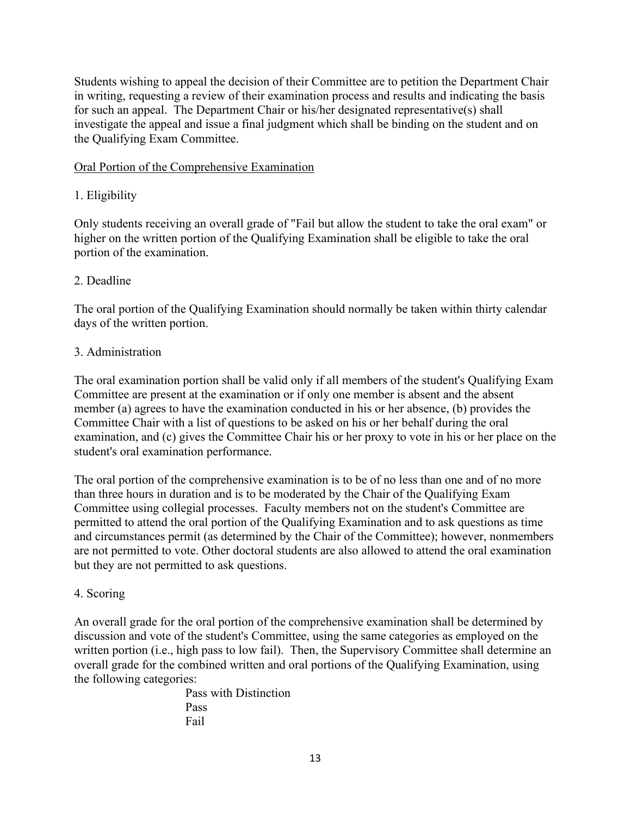Students wishing to appeal the decision of their Committee are to petition the Department Chair in writing, requesting a review of their examination process and results and indicating the basis for such an appeal. The Department Chair or his/her designated representative(s) shall investigate the appeal and issue a final judgment which shall be binding on the student and on the Qualifying Exam Committee.

# Oral Portion of the Comprehensive Examination

# 1. Eligibility

Only students receiving an overall grade of "Fail but allow the student to take the oral exam" or higher on the written portion of the Qualifying Examination shall be eligible to take the oral portion of the examination.

# 2. Deadline

The oral portion of the Qualifying Examination should normally be taken within thirty calendar days of the written portion.

## 3. Administration

The oral examination portion shall be valid only if all members of the student's Qualifying Exam Committee are present at the examination or if only one member is absent and the absent member (a) agrees to have the examination conducted in his or her absence, (b) provides the Committee Chair with a list of questions to be asked on his or her behalf during the oral examination, and (c) gives the Committee Chair his or her proxy to vote in his or her place on the student's oral examination performance.

The oral portion of the comprehensive examination is to be of no less than one and of no more than three hours in duration and is to be moderated by the Chair of the Qualifying Exam Committee using collegial processes. Faculty members not on the student's Committee are permitted to attend the oral portion of the Qualifying Examination and to ask questions as time and circumstances permit (as determined by the Chair of the Committee); however, nonmembers are not permitted to vote. Other doctoral students are also allowed to attend the oral examination but they are not permitted to ask questions.

## 4. Scoring

An overall grade for the oral portion of the comprehensive examination shall be determined by discussion and vote of the student's Committee, using the same categories as employed on the written portion (i.e., high pass to low fail). Then, the Supervisory Committee shall determine an overall grade for the combined written and oral portions of the Qualifying Examination, using the following categories:

Pass with Distinction Pass Fail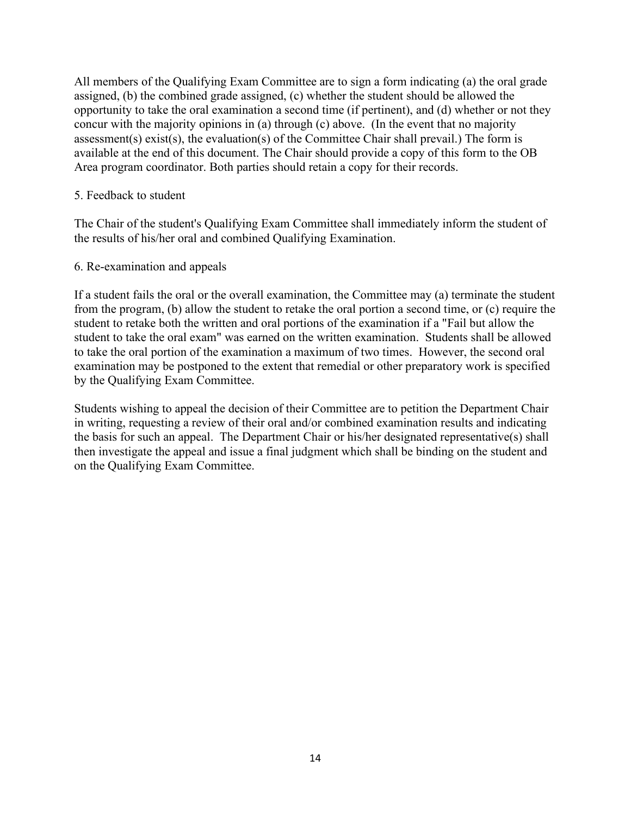All members of the Qualifying Exam Committee are to sign a form indicating (a) the oral grade assigned, (b) the combined grade assigned, (c) whether the student should be allowed the opportunity to take the oral examination a second time (if pertinent), and (d) whether or not they concur with the majority opinions in (a) through (c) above. (In the event that no majority assessment(s) exist(s), the evaluation(s) of the Committee Chair shall prevail.) The form is available at the end of this document. The Chair should provide a copy of this form to the OB Area program coordinator. Both parties should retain a copy for their records.

#### 5. Feedback to student

The Chair of the student's Qualifying Exam Committee shall immediately inform the student of the results of his/her oral and combined Qualifying Examination.

#### 6. Re-examination and appeals

If a student fails the oral or the overall examination, the Committee may (a) terminate the student from the program, (b) allow the student to retake the oral portion a second time, or (c) require the student to retake both the written and oral portions of the examination if a "Fail but allow the student to take the oral exam" was earned on the written examination. Students shall be allowed to take the oral portion of the examination a maximum of two times. However, the second oral examination may be postponed to the extent that remedial or other preparatory work is specified by the Qualifying Exam Committee.

Students wishing to appeal the decision of their Committee are to petition the Department Chair in writing, requesting a review of their oral and/or combined examination results and indicating the basis for such an appeal. The Department Chair or his/her designated representative(s) shall then investigate the appeal and issue a final judgment which shall be binding on the student and on the Qualifying Exam Committee.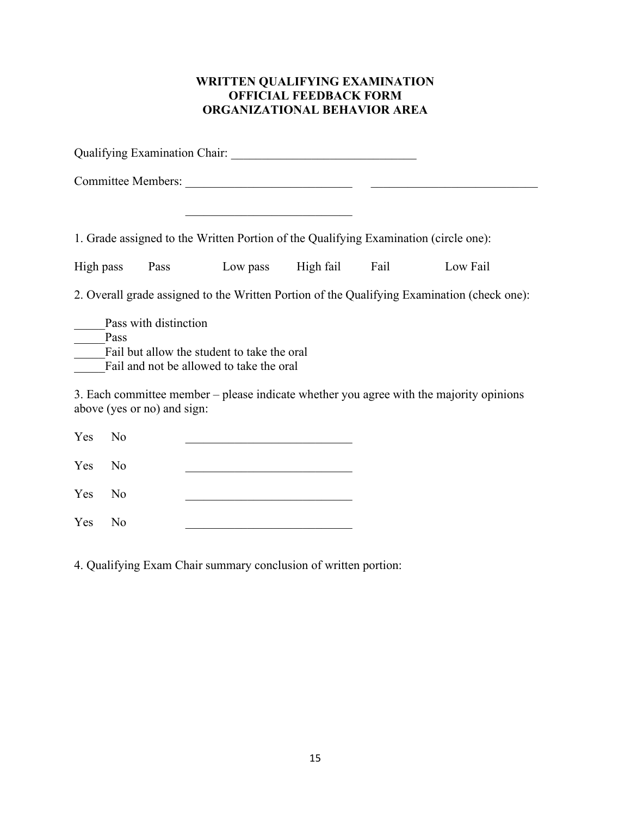# **WRITTEN QUALIFYING EXAMINATION OFFICIAL FEEDBACK FORM ORGANIZATIONAL BEHAVIOR AREA**

| 1. Grade assigned to the Written Portion of the Qualifying Examination (circle one):                                     |                |                                                                                                                     |  |      |          |  |  |
|--------------------------------------------------------------------------------------------------------------------------|----------------|---------------------------------------------------------------------------------------------------------------------|--|------|----------|--|--|
| High pass                                                                                                                |                | Pass Low pass High fail                                                                                             |  | Fail | Low Fail |  |  |
| 2. Overall grade assigned to the Written Portion of the Qualifying Examination (check one):                              |                |                                                                                                                     |  |      |          |  |  |
| Pass with distinction<br>Pass<br>Fail but allow the student to take the oral<br>Fail and not be allowed to take the oral |                |                                                                                                                     |  |      |          |  |  |
| 3. Each committee member – please indicate whether you agree with the majority opinions<br>above (yes or no) and sign:   |                |                                                                                                                     |  |      |          |  |  |
| Yes                                                                                                                      | N <sub>0</sub> |                                                                                                                     |  |      |          |  |  |
| Yes                                                                                                                      | No             | <u> 1989 - Johann John Stone, market fransk politiker (</u>                                                         |  |      |          |  |  |
| Yes                                                                                                                      | N <sub>o</sub> | <u> 1980 - Johann Barn, mars ann an t-Amhain an t-Amhain an t-Amhain an t-Amhain an t-Amhain an t-Amhain an t-A</u> |  |      |          |  |  |
| Yes                                                                                                                      | No             |                                                                                                                     |  |      |          |  |  |

4. Qualifying Exam Chair summary conclusion of written portion: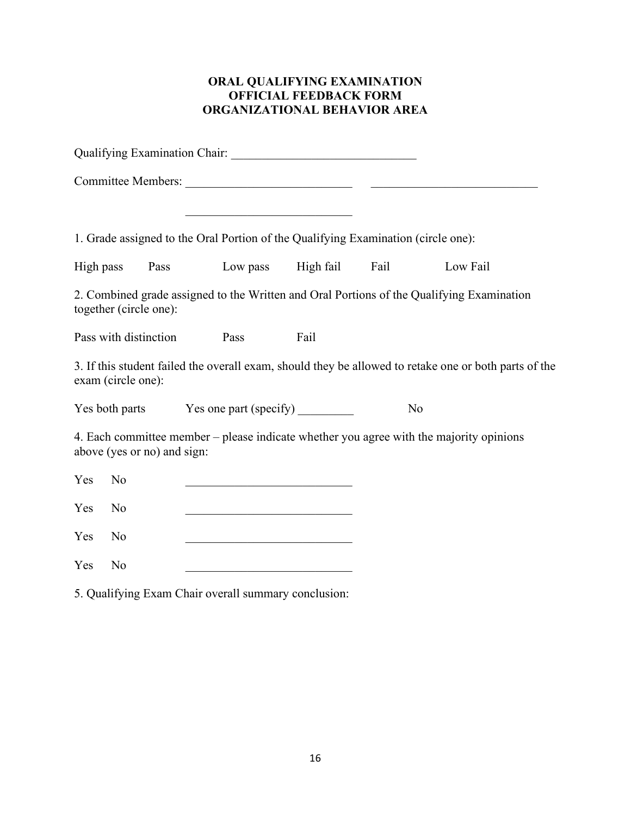# **ORAL QUALIFYING EXAMINATION OFFICIAL FEEDBACK FORM ORGANIZATIONAL BEHAVIOR AREA**

|                                                                                                                             |                       | <u> 1989 - Johann Barbara, martin amerikan basa</u>                                                                   |      |  |          |  |  |  |
|-----------------------------------------------------------------------------------------------------------------------------|-----------------------|-----------------------------------------------------------------------------------------------------------------------|------|--|----------|--|--|--|
| 1. Grade assigned to the Oral Portion of the Qualifying Examination (circle one):                                           |                       |                                                                                                                       |      |  |          |  |  |  |
|                                                                                                                             |                       | High pass Pass Low pass High fail Fail                                                                                |      |  | Low Fail |  |  |  |
| 2. Combined grade assigned to the Written and Oral Portions of the Qualifying Examination<br>together (circle one):         |                       |                                                                                                                       |      |  |          |  |  |  |
|                                                                                                                             | Pass with distinction | Pass                                                                                                                  | Fail |  |          |  |  |  |
| 3. If this student failed the overall exam, should they be allowed to retake one or both parts of the<br>exam (circle one): |                       |                                                                                                                       |      |  |          |  |  |  |
|                                                                                                                             |                       |                                                                                                                       |      |  | No       |  |  |  |
| 4. Each committee member - please indicate whether you agree with the majority opinions<br>above (yes or no) and sign:      |                       |                                                                                                                       |      |  |          |  |  |  |
| Yes                                                                                                                         | N <sub>o</sub>        |                                                                                                                       |      |  |          |  |  |  |
| Yes                                                                                                                         | No                    | <u> 1990 - Johann John Stoff, fransk politik (d. 19</u>                                                               |      |  |          |  |  |  |
| Yes                                                                                                                         | N <sub>o</sub>        | <u> 1990 - Johann John Stoff, mars et al. 1990 - John Stoff, mars et al. 1990 - John Stoff, mars et al. 1991 - 19</u> |      |  |          |  |  |  |
| Yes                                                                                                                         | No                    | <u> 1980 - Johann Barbara, martin amerikan basal dan bagi dan bagi dalam bagi dalam bagi dalam bagi dalam bagi da</u> |      |  |          |  |  |  |

5. Qualifying Exam Chair overall summary conclusion: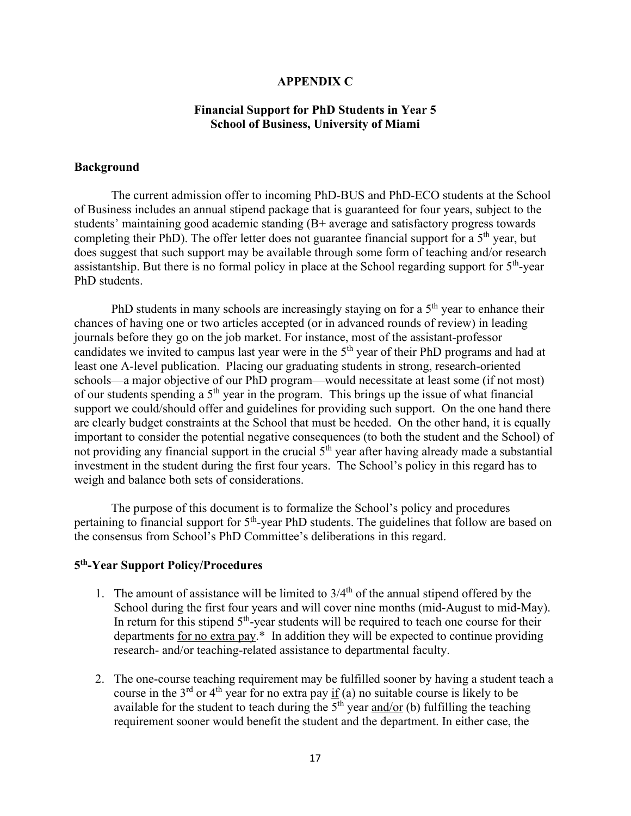#### **APPENDIX C**

#### **Financial Support for PhD Students in Year 5 School of Business, University of Miami**

#### **Background**

The current admission offer to incoming PhD-BUS and PhD-ECO students at the School of Business includes an annual stipend package that is guaranteed for four years, subject to the students' maintaining good academic standing (B+ average and satisfactory progress towards completing their PhD). The offer letter does not guarantee financial support for a  $5<sup>th</sup>$  year, but does suggest that such support may be available through some form of teaching and/or research assistantship. But there is no formal policy in place at the School regarding support for  $5<sup>th</sup>$ -year PhD students.

PhD students in many schools are increasingly staying on for a  $5<sup>th</sup>$  year to enhance their chances of having one or two articles accepted (or in advanced rounds of review) in leading journals before they go on the job market. For instance, most of the assistant-professor candidates we invited to campus last year were in the 5<sup>th</sup> year of their PhD programs and had at least one A-level publication. Placing our graduating students in strong, research-oriented schools—a major objective of our PhD program—would necessitate at least some (if not most) of our students spending a  $5<sup>th</sup>$  year in the program. This brings up the issue of what financial support we could/should offer and guidelines for providing such support. On the one hand there are clearly budget constraints at the School that must be heeded. On the other hand, it is equally important to consider the potential negative consequences (to both the student and the School) of not providing any financial support in the crucial  $5<sup>th</sup>$  year after having already made a substantial investment in the student during the first four years. The School's policy in this regard has to weigh and balance both sets of considerations.

The purpose of this document is to formalize the School's policy and procedures pertaining to financial support for 5<sup>th</sup>-year PhD students. The guidelines that follow are based on the consensus from School's PhD Committee's deliberations in this regard.

#### **5th-Year Support Policy/Procedures**

- 1. The amount of assistance will be limited to  $3/4<sup>th</sup>$  of the annual stipend offered by the School during the first four years and will cover nine months (mid-August to mid-May). In return for this stipend  $5<sup>th</sup>$ -year students will be required to teach one course for their departments for no extra pay.\* In addition they will be expected to continue providing research- and/or teaching-related assistance to departmental faculty.
- 2. The one-course teaching requirement may be fulfilled sooner by having a student teach a course in the  $3<sup>rd</sup>$  or  $4<sup>th</sup>$  year for no extra pay if (a) no suitable course is likely to be available for the student to teach during the  $\overline{5}^{\text{th}}$  year <u>and/or</u> (b) fulfilling the teaching requirement sooner would benefit the student and the department. In either case, the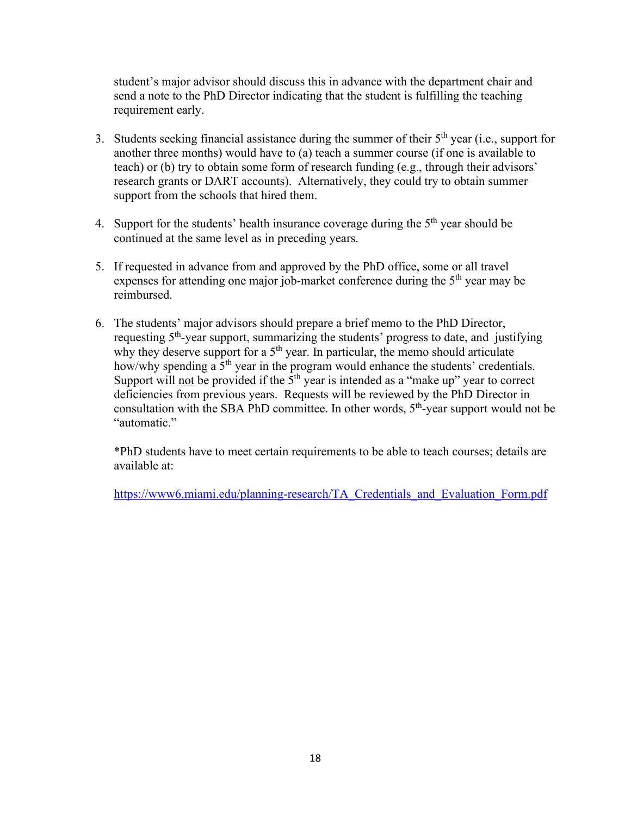student's major advisor should discuss this in advance with the department chair and send a note to the PhD Director indicating that the student is fulfilling the teaching requirement early.

- 3. Students seeking financial assistance during the summer of their  $5<sup>th</sup>$  year (i.e., support for another three months) would have to (a) teach a summer course (if one is available to teach) or (b) try to obtain some form of research funding (e.g., through their advisors' research grants or DART accounts). Alternatively, they could try to obtain summer support from the schools that hired them.
- 4. Support for the students' health insurance coverage during the  $5<sup>th</sup>$  year should be continued at the same level as in preceding years.
- 5. If requested in advance from and approved by the PhD office, some or all travel expenses for attending one major job-market conference during the  $5<sup>th</sup>$  year may be reimbursed.
- 6. The students' major advisors should prepare a brief memo to the PhD Director, requesting 5<sup>th</sup>-year support, summarizing the students' progress to date, and justifying why they deserve support for a  $5<sup>th</sup>$  year. In particular, the memo should articulate how/why spending  $a \overline{5}^{th}$  year in the program would enhance the students' credentials. Support will not be provided if the  $5<sup>th</sup>$  year is intended as a "make up" year to correct deficiencies from previous years. Requests will be reviewed by the PhD Director in consultation with the SBA PhD committee. In other words,  $5<sup>th</sup>$ -year support would not be "automatic."

\*PhD students have to meet certain requirements to be able to teach courses; details are available at:

[https://www6.miami.edu/planning-research/TA\\_Credentials\\_and\\_Evaluation\\_Form.pdf](https://www6.miami.edu/planning-research/TA_Credentials_and_Evaluation_Form.pdf)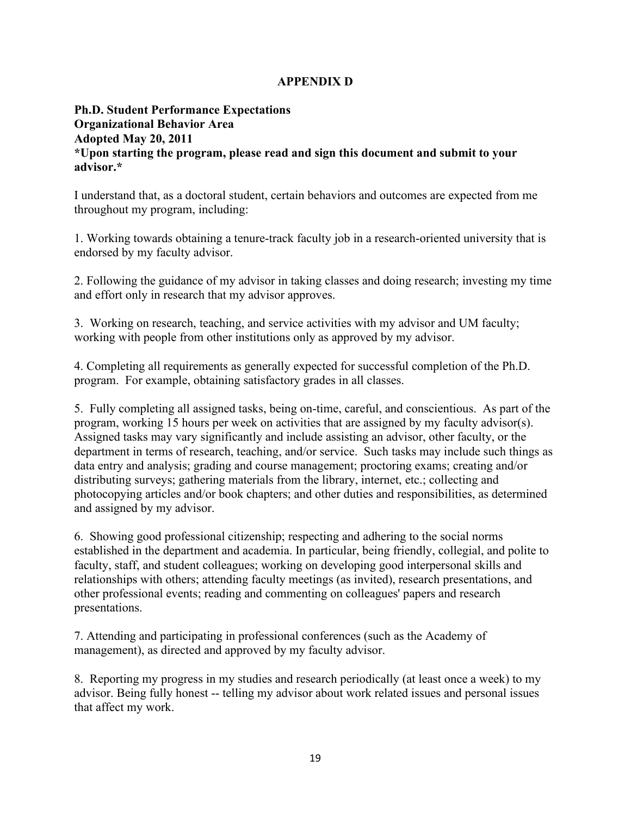# **APPENDIX D**

## **Ph.D. Student Performance Expectations Organizational Behavior Area Adopted May 20, 2011 \*Upon starting the program, please read and sign this document and submit to your advisor.\***

I understand that, as a doctoral student, certain behaviors and outcomes are expected from me throughout my program, including:

1. Working towards obtaining a tenure-track faculty job in a research-oriented university that is endorsed by my faculty advisor.

2. Following the guidance of my advisor in taking classes and doing research; investing my time and effort only in research that my advisor approves.

3. Working on research, teaching, and service activities with my advisor and UM faculty; working with people from other institutions only as approved by my advisor.

4. Completing all requirements as generally expected for successful completion of the Ph.D. program. For example, obtaining satisfactory grades in all classes.

5. Fully completing all assigned tasks, being on-time, careful, and conscientious. As part of the program, working 15 hours per week on activities that are assigned by my faculty advisor(s). Assigned tasks may vary significantly and include assisting an advisor, other faculty, or the department in terms of research, teaching, and/or service. Such tasks may include such things as data entry and analysis; grading and course management; proctoring exams; creating and/or distributing surveys; gathering materials from the library, internet, etc.; collecting and photocopying articles and/or book chapters; and other duties and responsibilities, as determined and assigned by my advisor.

6. Showing good professional citizenship; respecting and adhering to the social norms established in the department and academia. In particular, being friendly, collegial, and polite to faculty, staff, and student colleagues; working on developing good interpersonal skills and relationships with others; attending faculty meetings (as invited), research presentations, and other professional events; reading and commenting on colleagues' papers and research presentations.

7. Attending and participating in professional conferences (such as the Academy of management), as directed and approved by my faculty advisor.

8. Reporting my progress in my studies and research periodically (at least once a week) to my advisor. Being fully honest -- telling my advisor about work related issues and personal issues that affect my work.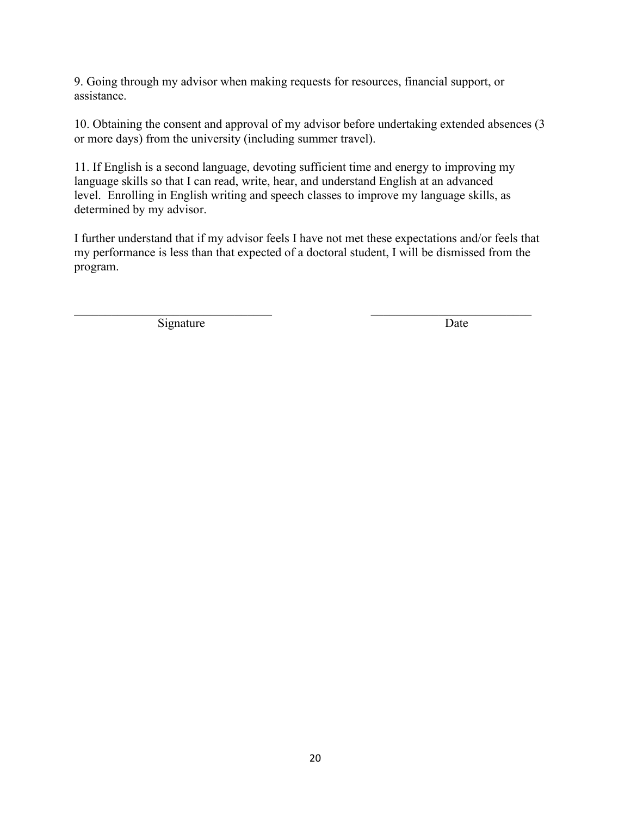9. Going through my advisor when making requests for resources, financial support, or assistance.

10. Obtaining the consent and approval of my advisor before undertaking extended absences (3 or more days) from the university (including summer travel).

11. If English is a second language, devoting sufficient time and energy to improving my language skills so that I can read, write, hear, and understand English at an advanced level. Enrolling in English writing and speech classes to improve my language skills, as determined by my advisor.

I further understand that if my advisor feels I have not met these expectations and/or feels that my performance is less than that expected of a doctoral student, I will be dismissed from the program.

 $\mathcal{L}_\text{max}$  , and the contribution of the contribution of the contribution of the contribution of the contribution of the contribution of the contribution of the contribution of the contribution of the contribution of t

Signature Date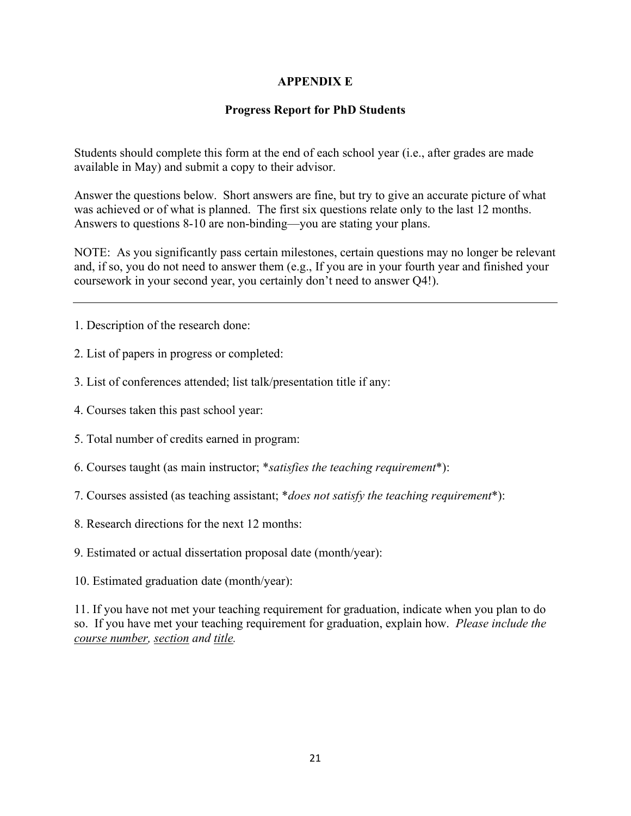## **APPENDIX E**

# **Progress Report for PhD Students**

Students should complete this form at the end of each school year (i.e., after grades are made available in May) and submit a copy to their advisor.

Answer the questions below. Short answers are fine, but try to give an accurate picture of what was achieved or of what is planned. The first six questions relate only to the last 12 months. Answers to questions 8-10 are non-binding—you are stating your plans.

NOTE: As you significantly pass certain milestones, certain questions may no longer be relevant and, if so, you do not need to answer them (e.g., If you are in your fourth year and finished your coursework in your second year, you certainly don't need to answer Q4!).

1. Description of the research done:

- 2. List of papers in progress or completed:
- 3. List of conferences attended; list talk/presentation title if any:
- 4. Courses taken this past school year:
- 5. Total number of credits earned in program:
- 6. Courses taught (as main instructor; \**satisfies the teaching requirement*\*):
- 7. Courses assisted (as teaching assistant; \**does not satisfy the teaching requirement*\*):
- 8. Research directions for the next 12 months:
- 9. Estimated or actual dissertation proposal date (month/year):
- 10. Estimated graduation date (month/year):

11. If you have not met your teaching requirement for graduation, indicate when you plan to do so. If you have met your teaching requirement for graduation, explain how. *Please include the course number, section and title.*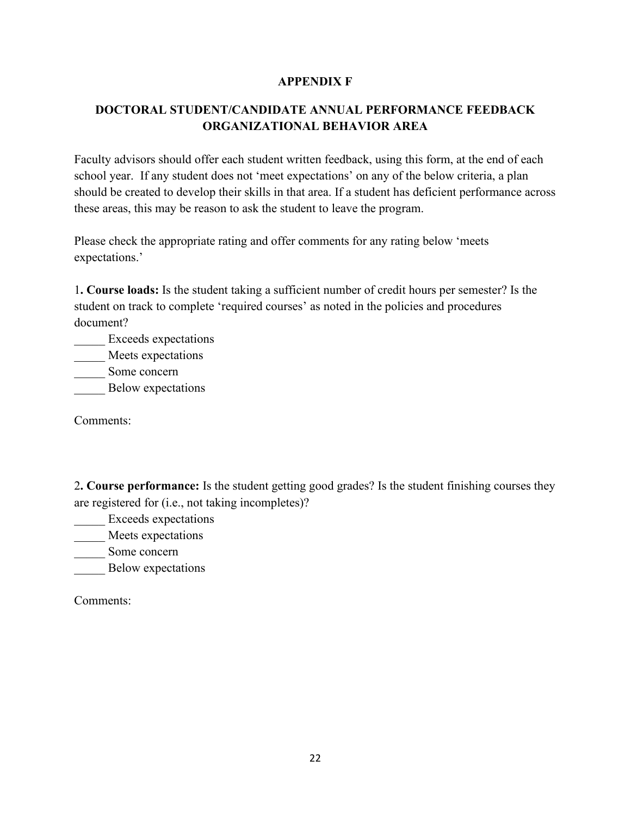## **APPENDIX F**

# **DOCTORAL STUDENT/CANDIDATE ANNUAL PERFORMANCE FEEDBACK ORGANIZATIONAL BEHAVIOR AREA**

Faculty advisors should offer each student written feedback, using this form, at the end of each school year. If any student does not 'meet expectations' on any of the below criteria, a plan should be created to develop their skills in that area. If a student has deficient performance across these areas, this may be reason to ask the student to leave the program.

Please check the appropriate rating and offer comments for any rating below 'meets expectations.'

1**. Course loads:** Is the student taking a sufficient number of credit hours per semester? Is the student on track to complete 'required courses' as noted in the policies and procedures document?

- Exceeds expectations
- \_\_\_\_\_ Meets expectations
- \_\_\_\_\_ Some concern

\_\_\_\_\_ Below expectations

Comments:

2**. Course performance:** Is the student getting good grades? Is the student finishing courses they are registered for (i.e., not taking incompletes)?

\_\_\_\_\_ Exceeds expectations

Meets expectations

Some concern

\_\_\_\_\_ Below expectations

Comments: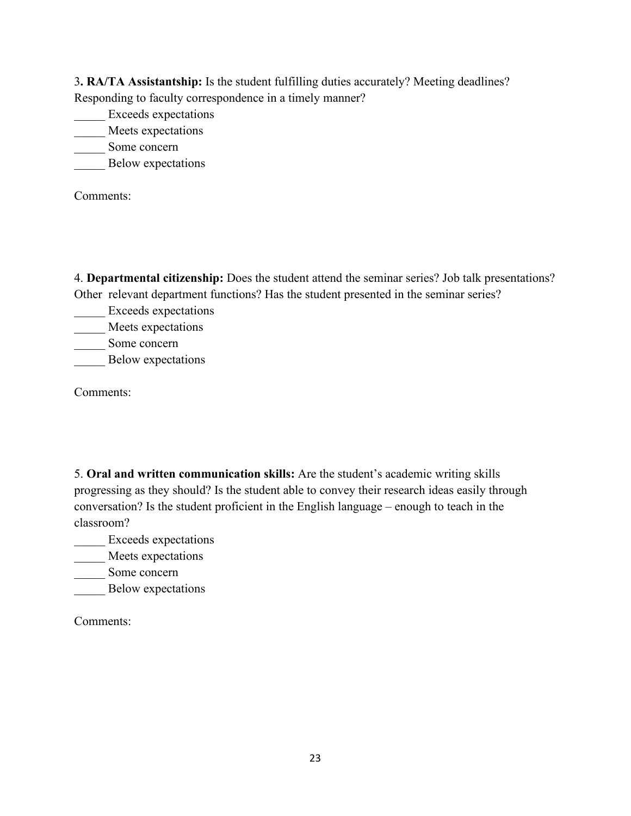3**. RA/TA Assistantship:** Is the student fulfilling duties accurately? Meeting deadlines? Responding to faculty correspondence in a timely manner?

\_\_\_\_\_ Exceeds expectations

Meets expectations

Some concern

\_\_\_\_\_ Below expectations

Comments:

4. **Departmental citizenship:** Does the student attend the seminar series? Job talk presentations? Other relevant department functions? Has the student presented in the seminar series?

\_\_\_\_\_ Exceeds expectations Meets expectations

Some concern

\_\_\_\_\_ Below expectations

Comments:

5. **Oral and written communication skills:** Are the student's academic writing skills progressing as they should? Is the student able to convey their research ideas easily through conversation? Is the student proficient in the English language – enough to teach in the classroom?

Exceeds expectations

Meets expectations

\_\_\_\_\_ Some concern

**\_\_\_\_\_\_** Below expectations

Comments: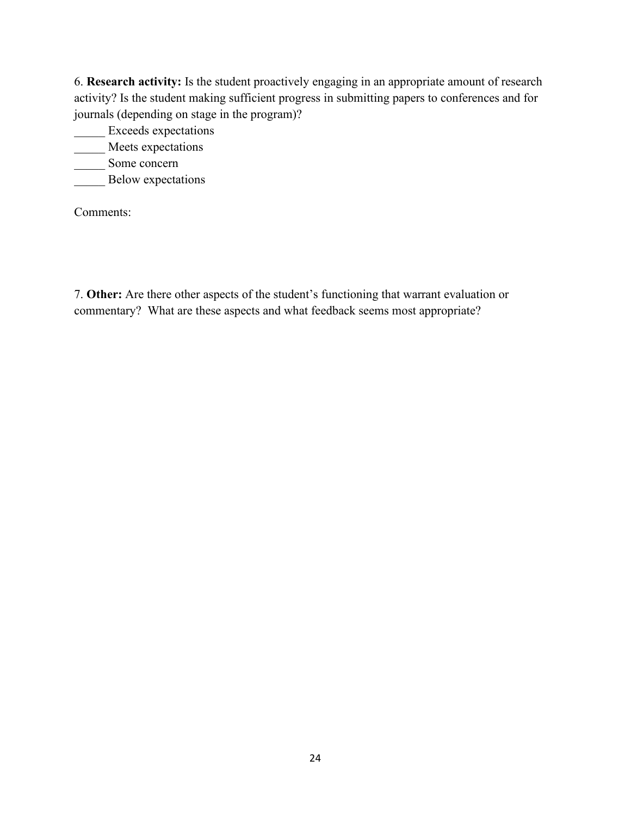6. **Research activity:** Is the student proactively engaging in an appropriate amount of research activity? Is the student making sufficient progress in submitting papers to conferences and for journals (depending on stage in the program)?

\_\_\_\_\_ Exceeds expectations

\_\_\_\_ Meets expectations

Some concern

\_\_\_\_\_ Below expectations

Comments:

7. **Other:** Are there other aspects of the student's functioning that warrant evaluation or commentary? What are these aspects and what feedback seems most appropriate?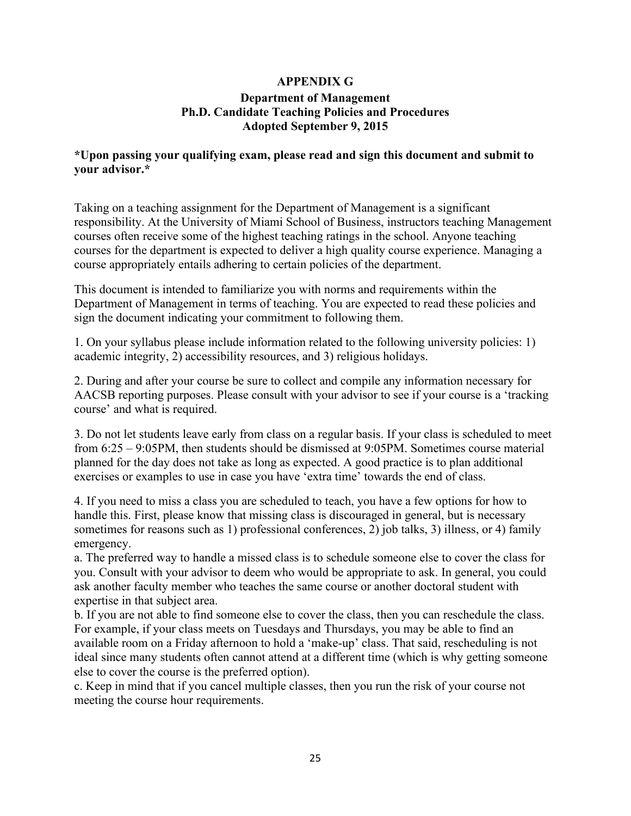#### **APPENDIX G Department of Management Ph.D. Candidate Teaching Policies and Procedures Adopted September 9, 2015**

#### **\*Upon passing your qualifying exam, please read and sign this document and submit to your advisor.\***

Taking on a teaching assignment for the Department of Management is a significant responsibility. At the University of Miami School of Business, instructors teaching Management courses often receive some of the highest teaching ratings in the school. Anyone teaching courses for the department is expected to deliver a high quality course experience. Managing a course appropriately entails adhering to certain policies of the department.

This document is intended to familiarize you with norms and requirements within the Department of Management in terms of teaching. You are expected to read these policies and sign the document indicating your commitment to following them.

1. On your syllabus please include information related to the following university policies: 1) academic integrity, 2) accessibility resources, and 3) religious holidays.

2. During and after your course be sure to collect and compile any information necessary for AACSB reporting purposes. Please consult with your advisor to see if your course is a 'tracking course' and what is required.

3. Do not let students leave early from class on a regular basis. If your class is scheduled to meet from 6:25 – 9:05PM, then students should be dismissed at 9:05PM. Sometimes course material planned for the day does not take as long as expected. A good practice is to plan additional exercises or examples to use in case you have 'extra time' towards the end of class.

4. If you need to miss a class you are scheduled to teach, you have a few options for how to handle this. First, please know that missing class is discouraged in general, but is necessary sometimes for reasons such as 1) professional conferences, 2) job talks, 3) illness, or 4) family emergency.

a. The preferred way to handle a missed class is to schedule someone else to cover the class for you. Consult with your advisor to deem who would be appropriate to ask. In general, you could ask another faculty member who teaches the same course or another doctoral student with expertise in that subject area.

b. If you are not able to find someone else to cover the class, then you can reschedule the class. For example, if your class meets on Tuesdays and Thursdays, you may be able to find an available room on a Friday afternoon to hold a 'make-up' class. That said, rescheduling is not ideal since many students often cannot attend at a different time (which is why getting someone else to cover the course is the preferred option).

c. Keep in mind that if you cancel multiple classes, then you run the risk of your course not meeting the course hour requirements.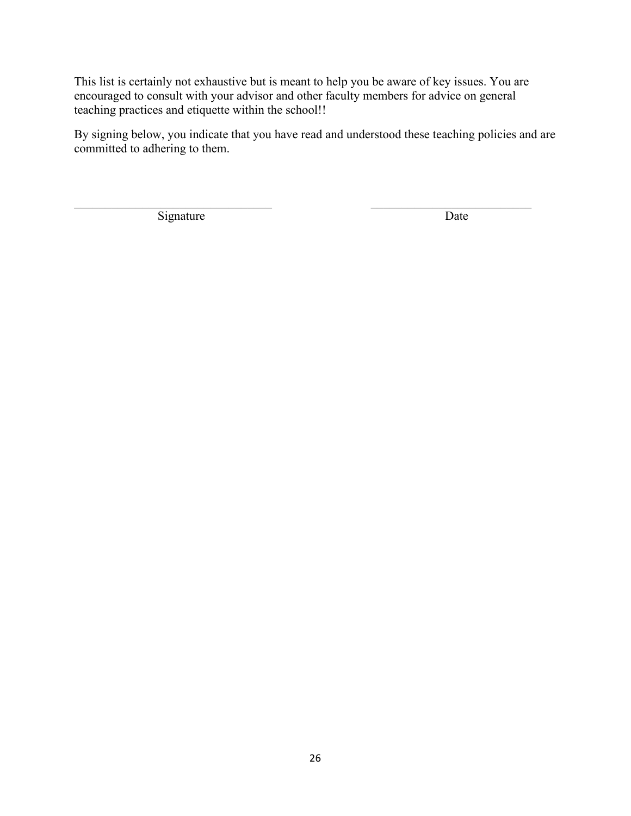This list is certainly not exhaustive but is meant to help you be aware of key issues. You are encouraged to consult with your advisor and other faculty members for advice on general teaching practices and etiquette within the school!!

By signing below, you indicate that you have read and understood these teaching policies and are committed to adhering to them.

Signature Date

 $\mathcal{L}_\text{max}$  , and the contribution of the contribution of the contribution of the contribution of the contribution of the contribution of the contribution of the contribution of the contribution of the contribution of t